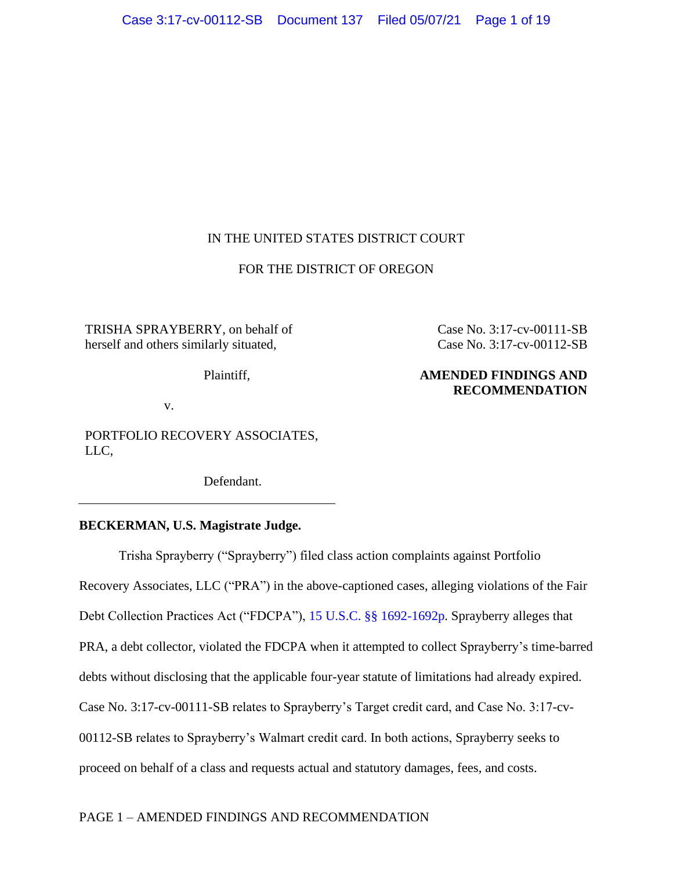# IN THE UNITED STATES DISTRICT COURT

## FOR THE DISTRICT OF OREGON

TRISHA SPRAYBERRY, on behalf of herself and others similarly situated,

Plaintiff,

Case No. 3:17-cv-00111-SB Case No. 3:17-cv-00112-SB

# **AMENDED FINDINGS AND RECOMMENDATION**

v.

PORTFOLIO RECOVERY ASSOCIATES, LLC,

Defendant.

## **BECKERMAN, U.S. Magistrate Judge.**

Trisha Sprayberry ("Sprayberry") filed class action complaints against Portfolio Recovery Associates, LLC ("PRA") in the above-captioned cases, alleging violations of the Fair Debt Collection Practices Act ("FDCPA"), [15 U.S.C. §§ 1692-1692p.](https://www.westlaw.com/Document/NB6223E30AFF711D8803AE0632FEDDFBF/View/FullText.html?transitionType=Default&contextData=(sc.Default)&VR=3.0&RS=da3.0) Sprayberry alleges that PRA, a debt collector, violated the FDCPA when it attempted to collect Sprayberry's time-barred debts without disclosing that the applicable four-year statute of limitations had already expired. Case No. 3:17-cv-00111-SB relates to Sprayberry's Target credit card, and Case No. 3:17-cv-00112-SB relates to Sprayberry's Walmart credit card. In both actions, Sprayberry seeks to proceed on behalf of a class and requests actual and statutory damages, fees, and costs.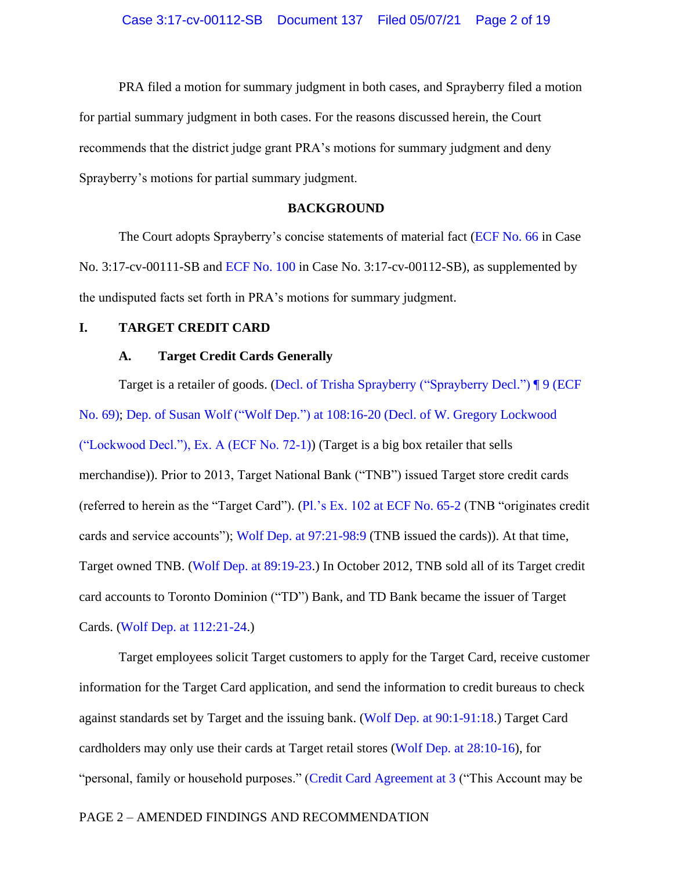PRA filed a motion for summary judgment in both cases, and Sprayberry filed a motion for partial summary judgment in both cases. For the reasons discussed herein, the Court recommends that the district judge grant PRA's motions for summary judgment and deny Sprayberry's motions for partial summary judgment.

## **BACKGROUND**

The Court adopts Sprayberry's concise statements of material fact [\(ECF No. 66](https://ord-ecf.sso.dcn/doc1/15117577584) in Case No. 3:17-cv-00111-SB and [ECF No. 100](https://ord-ecf.sso.dcn/doc1/15117577809) in Case No. 3:17-cv-00112-SB), as supplemented by the undisputed facts set forth in PRA's motions for summary judgment.

## **I. TARGET CREDIT CARD**

## **A. Target Credit Cards Generally**

Target is a retailer of goods. [\(Decl. of Trisha Sprayberry \("Sprayberry Decl."\)](https://ecf.ord.uscourts.gov/doc1/15117577649?page=2) ¶ 9 (ECF [No. 69\);](https://ecf.ord.uscourts.gov/doc1/15117577649?page=2) Dep. of Susan Wolf ("Wolf Dep.") at 108:16-20 [\(Decl. of W. Gregory Lockwood](https://ecf.ord.uscourts.gov/doc1/15117577866?page=28)  [\("Lockwood Decl."\), Ex. A \(ECF No. 72-1\)\)](https://ecf.ord.uscourts.gov/doc1/15117577866?page=28) (Target is a big box retailer that sells merchandise)). Prior to 2013, Target National Bank ("TNB") issued Target store credit cards (referred to herein as the "Target Card"). (Pl.'s Ex. 102 [at ECF No. 65-2](https://ecf.ord.uscourts.gov/doc1/15117577550) (TNB "originates credit cards and service accounts"); [Wolf Dep. at 97:21-98:9](https://ecf.ord.uscourts.gov/doc1/15117577866?page=26) (TNB issued the cards)). At that time, Target owned TNB. [\(Wolf Dep. at 89:19-23.](https://ecf.ord.uscourts.gov/doc1/15117577866?page=23)) In October 2012, TNB sold all of its Target credit card accounts to Toronto Dominion ("TD") Bank, and TD Bank became the issuer of Target Cards. [\(Wolf Dep. at 112:21-24.](https://ecf.ord.uscourts.gov/doc1/15117577866?page=29))

Target employees solicit Target customers to apply for the Target Card, receive customer information for the Target Card application, and send the information to credit bureaus to check against standards set by Target and the issuing bank. [\(Wolf Dep. at 90:1-91:18.](https://ecf.ord.uscourts.gov/doc1/15117577866?page=24)) Target Card cardholders may only use their cards at Target retail stores (Wolf Dep. at [28:10-16\)](https://ecf.ord.uscourts.gov/doc1/15117577866?page=8), for "personal, family or household purposes." [\(Credit Card Agreement at 3](https://ecf.ord.uscourts.gov/doc1/15117577107?page=3) ("This Account may be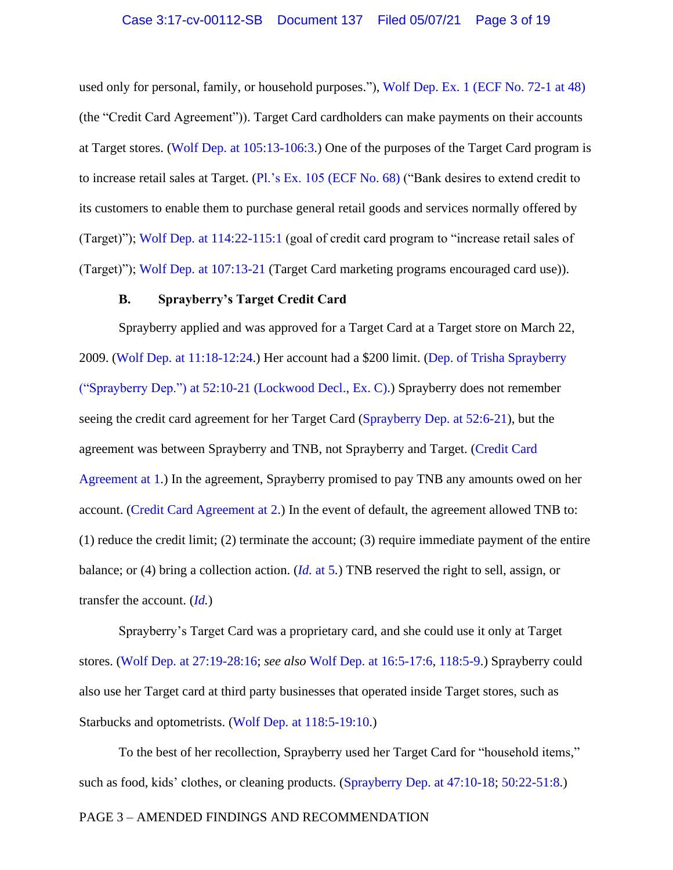used only for personal, family, or household purposes."), [Wolf Dep. Ex. 1 \(ECF No. 72-1 at 48\)](https://ecf.ord.uscourts.gov/doc1/15117577866?page=48) (the "Credit Card Agreement")). Target Card cardholders can make payments on their accounts at Target stores. (Wolf Dep. [at 105:13-106:3.](https://ecf.ord.uscourts.gov/doc1/15117577866?page=28)) One of the purposes of the Target Card program is to increase retail sales at Target. (Pl.'s Ex. 105 [\(ECF No. 68\)](https://ecf.ord.uscourts.gov/doc1/15117577642?page=2) ("Bank desires to extend credit to its customers to enable them to purchase general retail goods and services normally offered by (Target)"); [Wolf Dep. at 114:22-115:1](https://ecf.ord.uscourts.gov/doc1/15117577866?page=30) (goal of credit card program to "increase retail sales of (Target)"); [Wolf Dep. at 107:13-21](https://ecf.ord.uscourts.gov/doc1/15117577866?page=28) (Target Card marketing programs encouraged card use)).

### **B. Sprayberry's Target Credit Card**

Sprayberry applied and was approved for a Target Card at a Target store on March 22, 2009. (Wolf Dep. [at 11:18-12:24.](https://ecf.ord.uscourts.gov/doc1/15117577866?page=4)) Her account had a \$200 limit. (Dep. [of Trisha Sprayberry](https://ecf.ord.uscourts.gov/doc1/15117577868?page=14)  ("Sprayberry Dep.") at 52:10-21 [\(Lockwood Decl., Ex. C\).](https://ecf.ord.uscourts.gov/doc1/15117577868?page=14)) Sprayberry does not remember seeing the credit card agreement for her Target Card [\(Sprayberry Dep.](https://ecf.ord.uscourts.gov/doc1/15117577868?page=14) at 52:6-21), but the agreement was between Sprayberry and TNB, not Sprayberry and Target. [\(Credit Card](https://ecf.ord.uscourts.gov/doc1/15117577107?page=3)  [Agreement at 1.](https://ecf.ord.uscourts.gov/doc1/15117577107?page=3)) In the agreement, Sprayberry promised to pay TNB any amounts owed on her account. [\(Credit Card Agreement at 2.](https://ecf.ord.uscourts.gov/doc1/15117577107?page=4)) In the event of default, the agreement allowed TNB to:  $(1)$  reduce the credit limit;  $(2)$  terminate the account;  $(3)$  require immediate payment of the entire balance; or (4) bring a collection action. (*Id.* [at 5](https://ecf.ord.uscourts.gov/doc1/15117577107?page=6)*.*) TNB reserved the right to sell, assign, or transfer the account. (*[Id.](https://ecf.ord.uscourts.gov/doc1/15117577107?page=6)*)

Sprayberry's Target Card was a proprietary card, and she could use it only at Target stores. [\(Wolf Dep. at 27:19-28:16;](https://ecf.ord.uscourts.gov/doc1/15117577866?page=8) *see also* Wolf Dep. [at 16:5-17:6,](https://ecf.ord.uscourts.gov/doc1/15117577866?page=5) [118:5-9.](https://ecf.ord.uscourts.gov/doc1/15117577866?page=31)) Sprayberry could also use her Target card at third party businesses that operated inside Target stores, such as Starbucks and optometrists. [\(Wolf Dep. at 118:5-19:10.](https://ecf.ord.uscourts.gov/doc1/15117577866?page=31))

To the best of her recollection, Sprayberry used her Target Card for "household items," such as food, kids' clothes, or cleaning products. [\(Sprayberry Dep.](https://ecf.ord.uscourts.gov/doc1/15117577868?page=13) at 47:10-18; [50:22-51:8.](https://ecf.ord.uscourts.gov/doc1/15117577868?page=14))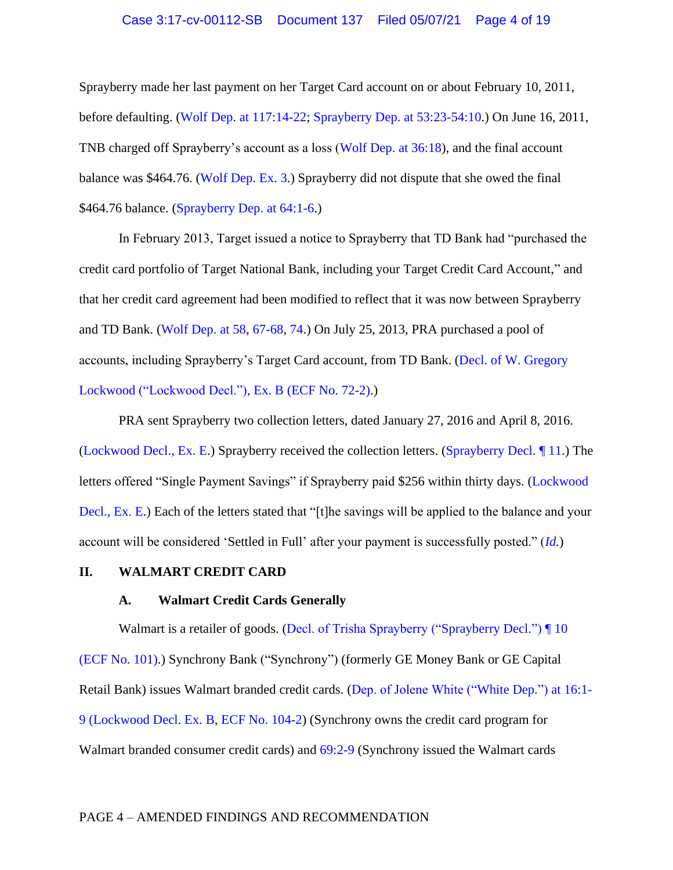Sprayberry made her last payment on her Target Card account on or about February 10, 2011, before defaulting. (Wolf Dep. [at 117:14-22;](https://ecf.ord.uscourts.gov/doc1/15117577866?page=31) [Sprayberry Dep.](https://ecf.ord.uscourts.gov/doc1/15117577556?page=8) at 53:23-54:10.) On June 16, 2011, TNB charged off Sprayberry's account as a loss [\(Wolf Dep. at 36:18\)](https://ecf.ord.uscourts.gov/doc1/15117577866?page=10), and the final account balance was \$464.76. [\(Wolf Dep. Ex. 3.](https://ecf.ord.uscourts.gov/doc1/15117577866?page=73)) Sprayberry did not dispute that she owed the final \$464.76 balance. [\(Sprayberry Dep.](https://ecf.ord.uscourts.gov/doc1/15117577868?page=17) at 64:1-6.)

In February 2013, Target issued a notice to Sprayberry that TD Bank had "purchased the credit card portfolio of Target National Bank, including your Target Credit Card Account," and that her credit card agreement had been modified to reflect that it was now between Sprayberry and TD Bank. [\(Wolf Dep. at 58,](https://ecf.ord.uscourts.gov/doc1/15117577866?page=16) [67-68,](https://ecf.ord.uscourts.gov/doc1/15117577866?page=18) [74.](https://ecf.ord.uscourts.gov/doc1/15117577866?page=20)) On July 25, 2013, PRA purchased a pool of accounts, including Sprayberry's Target Card account, from TD Bank. [\(Decl. of W. Gregory](https://ecf.ord.uscourts.gov/doc1/15117577867)  Lockwood [\("Lockwood Decl."\), Ex. B](https://ecf.ord.uscourts.gov/doc1/15117577867) (ECF No. 72-2).)

PRA sent Sprayberry two collection letters, dated January 27, 2016 and April 8, 2016. [\(Lockwood Decl., Ex. E.](https://ecf.ord.uscourts.gov/doc1/15117577870)) Sprayberry received the collection letters. [\(Sprayberry Decl.](https://ecf.ord.uscourts.gov/doc1/15117577649?page=3) ¶ 11.) The letters offered "Single Payment Savings" if Sprayberry paid \$256 within thirty days. [\(Lockwood](https://ecf.ord.uscourts.gov/doc1/15117577870)  [Decl., Ex. E.](https://ecf.ord.uscourts.gov/doc1/15117577870)) Each of the letters stated that "[t]he savings will be applied to the balance and your account will be considered 'Settled in Full' after your payment is successfully posted." (*[Id.](https://ecf.ord.uscourts.gov/doc1/15117577870)*)

## **II. WALMART CREDIT CARD**

## **A. Walmart Credit Cards Generally**

Walmart is a retailer of goods. [\(Decl. of Trisha Sprayberry \("Sprayberry Decl."\)](https://ecf.ord.uscourts.gov/doc1/15117577812?page=3) | 10 [\(ECF No. 101\).](https://ecf.ord.uscourts.gov/doc1/15117577812?page=3)) Synchrony Bank ("Synchrony") (formerly GE Money Bank or GE Capital Retail Bank) issues Walmart branded credit cards. [\(Dep. of Jolene White \("White Dep."\)](https://ecf.ord.uscourts.gov/doc1/15117577797?page=4) at 16:1- [9 \(Lockwood Decl. Ex. B, ECF No. 104-2\)](https://ecf.ord.uscourts.gov/doc1/15117577797?page=4) (Synchrony owns the credit card program for Walmart branded consumer credit cards) and [69:2-9](https://ecf.ord.uscourts.gov/doc1/15117577909?page=18) (Synchrony issued the Walmart cards

#### PAGE 4 – AMENDED FINDINGS AND RECOMMENDATION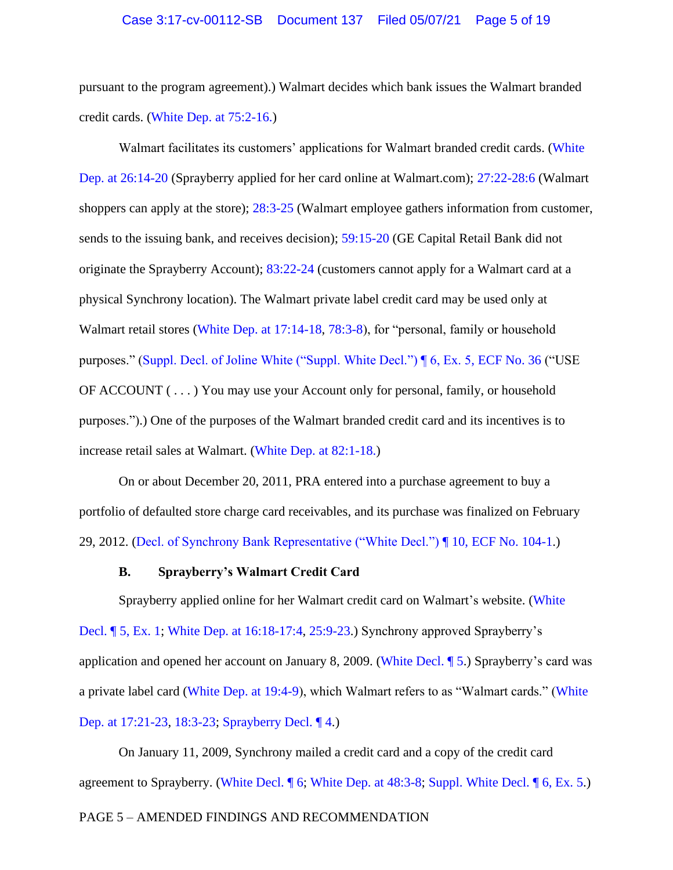pursuant to the program agreement).) Walmart decides which bank issues the Walmart branded credit cards. [\(White Dep. at 75:2-16.\)](https://ecf.ord.uscourts.gov/doc1/15117577909?page=19)

Walmart facilitates its customers' applications for Walmart branded credit cards. (White [Dep. at 26:14-20](https://ecf.ord.uscourts.gov/doc1/15117577909?page=7) (Sprayberry applied for her card online at Walmart.com); [27:22-28:6](https://ecf.ord.uscourts.gov/doc1/15117577909?page=7) (Walmart shoppers can apply at the store); [28:3-25](https://ecf.ord.uscourts.gov/doc1/15117577909?page=7) (Walmart employee gathers information from customer, sends to the issuing bank, and receives decision); [59:15-20](https://ecf.ord.uscourts.gov/doc1/15117577909?page=15) (GE Capital Retail Bank did not originate the Sprayberry Account); [83:22-24](https://ecf.ord.uscourts.gov/doc1/15117577909?page=21) (customers cannot apply for a Walmart card at a physical Synchrony location). The Walmart private label credit card may be used only at Walmart retail stores [\(White Dep. at 17:14-18,](https://ecf.ord.uscourts.gov/doc1/15117577909?page=5) [78:3-8\)](https://ecf.ord.uscourts.gov/doc1/15117577909?page=20), for "personal, family or household purposes." [\(Suppl. Decl. of Joline White \("Suppl. White Decl."\) ¶ 6, Ex. 5, ECF No. 36](https://ecf.ord.uscourts.gov/doc1/15116441191?page=3) ("USE OF ACCOUNT ( . . . ) You may use your Account only for personal, family, or household purposes.").) One of the purposes of the Walmart branded credit card and its incentives is to increase retail sales at Walmart. [\(White Dep. at](https://ecf.ord.uscourts.gov/doc1/15117577909?page=21) 82:1-18.)

On or about December 20, 2011, PRA entered into a purchase agreement to buy a portfolio of defaulted store charge card receivables, and its purchase was finalized on February 29, 2012. [\(Decl. of Synchrony Bank Representative \("White Decl."\)](https://ecf.ord.uscourts.gov/doc1/15117577908?page=3) ¶ 10, ECF No. 104-1.)

#### **B. Sprayberry's Walmart Credit Card**

Sprayberry applied online for her Walmart credit card on Walmart's website. [\(White](https://ecf.ord.uscourts.gov/doc1/15117577908?page=6)  Decl. ¶ [5, Ex. 1;](https://ecf.ord.uscourts.gov/doc1/15117577908?page=6) [White Dep. at 16:18-17:4,](https://ecf.ord.uscourts.gov/doc1/15117577909?page=4) [25:9-23.](https://ecf.ord.uscourts.gov/doc1/15117577909?page=7)) Synchrony approved Sprayberry's application and opened her account on January 8, 2009. (White [Decl. ¶ 5.](https://ecf.ord.uscourts.gov/doc1/15117577908?page=2)) Sprayberry's card was a private label card [\(White Dep. at](https://ecf.ord.uscourts.gov/doc1/15117577797?page=7) 19:4-9), which Walmart refers to as "Walmart cards." [\(White](https://ecf.ord.uscourts.gov/doc1/15117577909?page=5)  [Dep. at 17:21-23, 18:3-23;](https://ecf.ord.uscourts.gov/doc1/15117577909?page=5) [Sprayberry Decl.](https://ecf.ord.uscourts.gov/doc1/15117577812?page=2) ¶ 4.)

On January 11, 2009, Synchrony mailed a credit card and a copy of the credit card agreement to Sprayberry. [\(White Decl. ¶ 6;](https://ecf.ord.uscourts.gov/doc1/15117577908?page=2) [White Dep. at 48:3-8;](https://ecf.ord.uscourts.gov/doc1/15117577797?page=12) [Suppl. White Decl.](https://ecf.ord.uscourts.gov/doc1/15116441191?page=3) ¶ 6, Ex. 5.)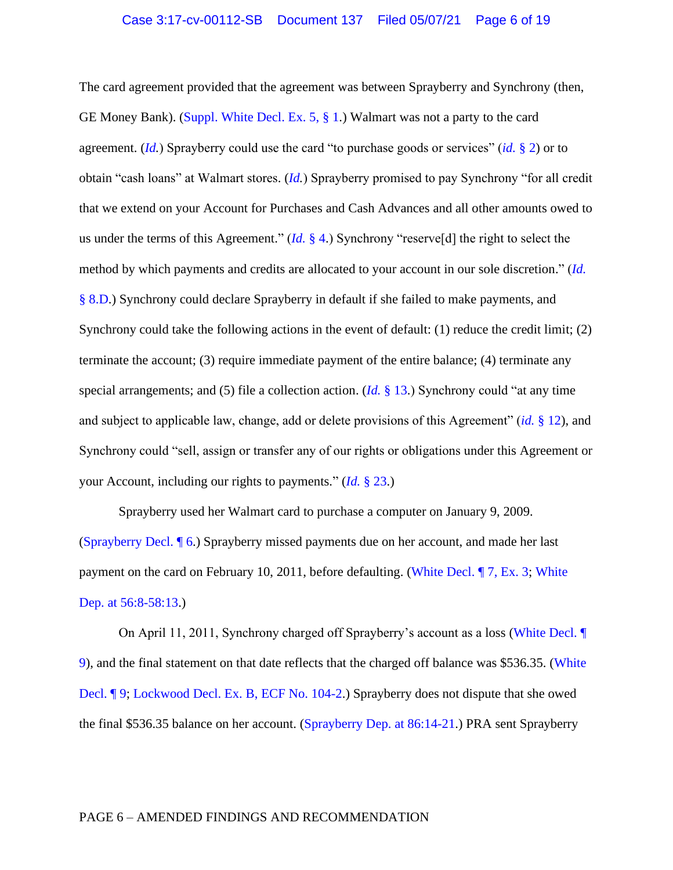The card agreement provided that the agreement was between Sprayberry and Synchrony (then, GE Money Bank). [\(Suppl. White Decl. Ex. 5,](https://ecf.ord.uscourts.gov/doc1/15116441191?page=3) § 1.) Walmart was not a party to the card agreement. (*[Id.](https://ecf.ord.uscourts.gov/doc1/15116441191?page=3)*) Sprayberry could use the card "to purchase goods or services" (*id.* [§ 2\)](https://ecf.ord.uscourts.gov/doc1/15116441191?page=3) or to obtain "cash loans" at Walmart stores. (*[Id.](https://ecf.ord.uscourts.gov/doc1/15116441191?page=3)*) Sprayberry promised to pay Synchrony "for all credit that we extend on your Account for Purchases and Cash Advances and all other amounts owed to us under the terms of this Agreement." (*Id.* [§ 4.](https://ecf.ord.uscourts.gov/doc1/15116441191?page=3)) Synchrony "reserve[d] the right to select the method by which payments and credits are allocated to your account in our sole discretion." (*[Id.](https://ecf.ord.uscourts.gov/doc1/15116441191?page=6)*  [§ 8.D.](https://ecf.ord.uscourts.gov/doc1/15116441191?page=6)) Synchrony could declare Sprayberry in default if she failed to make payments, and Synchrony could take the following actions in the event of default: (1) reduce the credit limit; (2) terminate the account; (3) require immediate payment of the entire balance; (4) terminate any special arrangements; and (5) file a collection action. (*Id.* [§ 13.](https://ecf.ord.uscourts.gov/doc1/15116441191?page=7)) Synchrony could "at any time and subject to applicable law, change, add or delete provisions of this Agreement" (*id.* [§ 12\)](https://ecf.ord.uscourts.gov/doc1/15116441191?page=3), and Synchrony could "sell, assign or transfer any of our rights or obligations under this Agreement or your Account, including our rights to payments." (*Id.* [§ 23.](https://ecf.ord.uscourts.gov/doc1/15116441191?page=10))

Sprayberry used her Walmart card to purchase a computer on January 9, 2009. [\(Sprayberry Decl.](https://ecf.ord.uscourts.gov/doc1/15117577812?page=2) ¶ 6.) Sprayberry missed payments due on her account, and made her last payment on the card on February 10, 2011, before defaulting. [\(White Decl. ¶ 7,](https://ecf.ord.uscourts.gov/doc1/15117577908?page=39) Ex. 3; [White](https://ecf.ord.uscourts.gov/doc1/15117577797?page=14)  [Dep. at 56:8-58:13.](https://ecf.ord.uscourts.gov/doc1/15117577797?page=14))

On April 11, 2011, Synchrony charged off Sprayberry's account as a loss [\(White Decl.](https://ecf.ord.uscourts.gov/doc1/15117577908?page=3) ¶ [9\)](https://ecf.ord.uscourts.gov/doc1/15117577908?page=3), and the final statement on that date reflects that the charged off balance was \$536.35. [\(White](https://ecf.ord.uscourts.gov/doc1/15117577908?page=3)  [Decl. ¶ 9;](https://ecf.ord.uscourts.gov/doc1/15117577908?page=3) [Lockwood Decl. Ex. B, ECF No. 104-2.](https://ecf.ord.uscourts.gov/doc1/15117577909?page=47)) Sprayberry does not dispute that she owed the final \$536.35 balance on her account. [\(Sprayberry Dep. at](https://ecf.ord.uscourts.gov/doc1/15117577868?page=23) 86:14-21.) PRA sent Sprayberry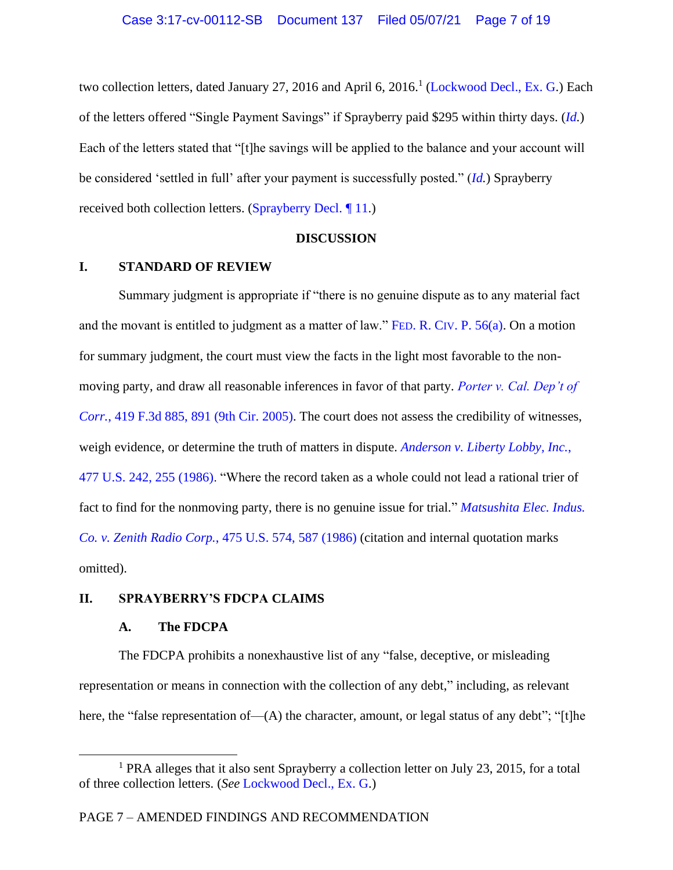two collection letters, dated January 27, 2016 and April 6, 2016.<sup>1</sup> [\(Lockwood Decl., Ex. G.](https://ecf.ord.uscourts.gov/doc1/15117577914)) Each of the letters offered "Single Payment Savings" if Sprayberry paid \$295 within thirty days. (*[Id.](https://ecf.ord.uscourts.gov/doc1/15117577914)*) Each of the letters stated that "[t]he savings will be applied to the balance and your account will be considered 'settled in full' after your payment is successfully posted." (*[Id.](https://ecf.ord.uscourts.gov/doc1/15117577914)*) Sprayberry received both collection letters. [\(Sprayberry Decl.](https://ecf.ord.uscourts.gov/doc1/15117577812?page=3) ¶ 11.)

#### **DISCUSSION**

# **I. STANDARD OF REVIEW**

Summary judgment is appropriate if "there is no genuine dispute as to any material fact and the movant is entitled to judgment as a matter of law." FED. R. CIV[. P. 56\(a\).](https://www.westlaw.com/Document/N1B4C0B30B96A11D8983DF34406B5929B/View/FullText.html?transitionType=Default&contextData=(sc.Default)&VR=3.0&RS=da3.0) On a motion for summary judgment, the court must view the facts in the light most favorable to the nonmoving party, and draw all reasonable inferences in favor of that party. *[Porter v. Cal. Dep't of](https://www.westlaw.com/Document/I94908cf505bd11dab386b232635db992/View/FullText.html?transitionType=Default&contextData=(sc.Default)&VR=3.0&RS=da3.0&fragmentIdentifier=co_pp_sp_506_891)  Corr.*[, 419 F.3d 885, 891 \(9th Cir. 2005\).](https://www.westlaw.com/Document/I94908cf505bd11dab386b232635db992/View/FullText.html?transitionType=Default&contextData=(sc.Default)&VR=3.0&RS=da3.0&fragmentIdentifier=co_pp_sp_506_891) The court does not assess the credibility of witnesses, weigh evidence, or determine the truth of matters in dispute. *[Anderson v. Liberty Lobby, Inc.](https://www.westlaw.com/Document/I3a8518e29c9d11d991d0cc6b54f12d4d/View/FullText.html?transitionType=Default&contextData=(sc.Default)&VR=3.0&RS=da3.0&fragmentIdentifier=co_pp_sp_780_255)*, [477 U.S. 242, 255 \(1986\).](https://www.westlaw.com/Document/I3a8518e29c9d11d991d0cc6b54f12d4d/View/FullText.html?transitionType=Default&contextData=(sc.Default)&VR=3.0&RS=da3.0&fragmentIdentifier=co_pp_sp_780_255) "Where the record taken as a whole could not lead a rational trier of fact to find for the nonmoving party, there is no genuine issue for trial." *[Matsushita Elec. Indus.](https://www.westlaw.com/Document/I1d196aaa9c9711d993e6d35cc61aab4a/View/FullText.html?transitionType=Default&contextData=(sc.Default)&VR=3.0&RS=da3.0&fragmentIdentifier=co_pp_sp_780_587)  Co. v. Zenith Radio Corp.*[, 475 U.S. 574, 587 \(1986\)](https://www.westlaw.com/Document/I1d196aaa9c9711d993e6d35cc61aab4a/View/FullText.html?transitionType=Default&contextData=(sc.Default)&VR=3.0&RS=da3.0&fragmentIdentifier=co_pp_sp_780_587) (citation and internal quotation marks omitted).

# **II. SPRAYBERRY'S FDCPA CLAIMS**

#### **A. The FDCPA**

The FDCPA prohibits a nonexhaustive list of any "false, deceptive, or misleading representation or means in connection with the collection of any debt," including, as relevant here, the "false representation of—(A) the character, amount, or legal status of any debt"; "[t]he

<sup>&</sup>lt;sup>1</sup> PRA alleges that it also sent Sprayberry a collection letter on July 23, 2015, for a total of three collection letters. (*See* [Lockwood Decl., Ex. G.](https://ecf.ord.uscourts.gov/doc1/15117577914))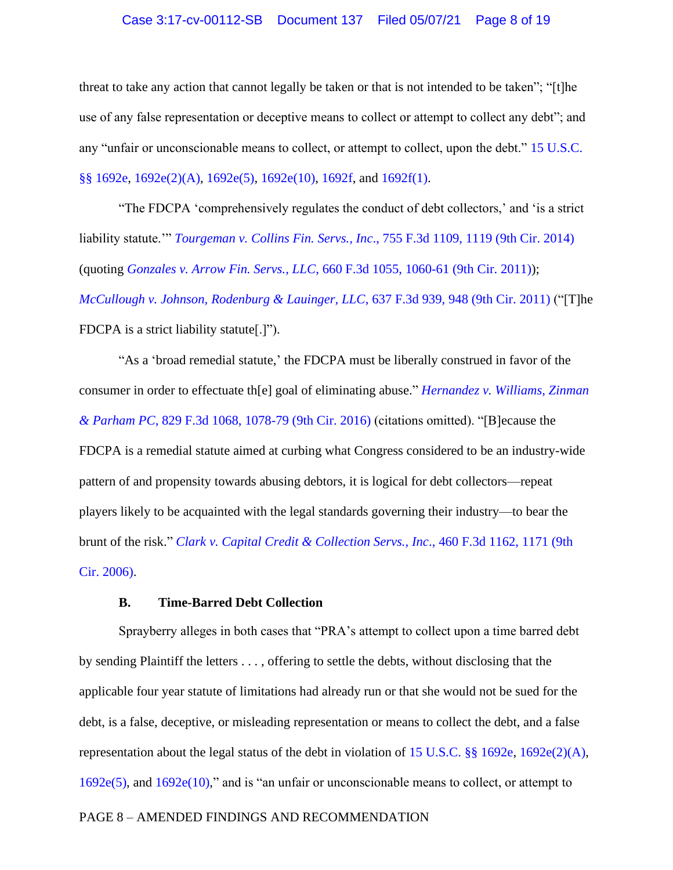#### Case 3:17-cv-00112-SB Document 137 Filed 05/07/21 Page 8 of 19

threat to take any action that cannot legally be taken or that is not intended to be taken"; "[t]he use of any false representation or deceptive means to collect or attempt to collect any debt"; and any "unfair or unconscionable means to collect, or attempt to collect, upon the debt." [15 U.S.C.](https://www.westlaw.com/Document/NB7DBFC20AFF711D8803AE0632FEDDFBF/View/FullText.html?transitionType=Default&contextData=(sc.Default)&VR=3.0&RS=da3.0)  [§§ 1692e, 1692e\(2\)\(A\), 1692e\(5\), 1692e\(10\),](https://www.westlaw.com/Document/NB7DBFC20AFF711D8803AE0632FEDDFBF/View/FullText.html?transitionType=Default&contextData=(sc.Default)&VR=3.0&RS=da3.0) [1692f,](https://1.next.westlaw.com/Document/NC109D6A0AFF711D8803AE0632FEDDFBF/View/FullText.html?transitionType=UniqueDocItem&contextData=(sc.UserEnteredCitation)&userEnteredCitation=15+usc+1692f) and [1692f\(1\).](https://1.next.westlaw.com/Document/NC109D6A0AFF711D8803AE0632FEDDFBF/View/FullText.html?transitionType=UniqueDocItem&contextData=(sc.UserEnteredCitation)&userEnteredCitation=15+usc+1692f)

"The FDCPA 'comprehensively regulates the conduct of debt collectors,' and 'is a strict liability statute.'" *Tourgeman v. Collins Fin. Servs., Inc*[., 755 F.3d 1109, 1119 \(9th Cir. 2014\)](https://www.westlaw.com/Document/I2c086aa7fc9211e39488c8f438320c70/View/FullText.html?transitionType=Default&contextData=(sc.Default)&VR=3.0&RS=da3.0&fragmentIdentifier=co_pp_sp_506_1119) (quoting *Gonzales v. Arrow Fin. Servs., LLC*[, 660 F.3d 1055, 1060-61 \(9th Cir. 2011\)\)](https://www.westlaw.com/Document/I00ba4181e63011e0be8fdb5fa26a1033/View/FullText.html?transitionType=Default&contextData=(sc.Default)&VR=3.0&RS=da3.0&fragmentIdentifier=co_pp_sp_506_1060); *[McCullough v. Johnson, Rodenburg & Lauinger, LLC](https://www.westlaw.com/Document/Ib8bfdc52467e11e0b931b80af77abaf1/View/FullText.html?transitionType=Default&contextData=(sc.Default)&VR=3.0&RS=da3.0&fragmentIdentifier=co_pp_sp_506_948)*, 637 F.3d 939, 948 (9th Cir. 2011) ("[T]he FDCPA is a strict liability statute[.]").

"As a 'broad remedial statute,' the FDCPA must be liberally construed in favor of the consumer in order to effectuate th[e] goal of eliminating abuse." *[Hernandez v. Williams, Zinman](https://www.westlaw.com/Document/I30c56a504eff11e687dda03c2315206d/View/FullText.html?transitionType=Default&contextData=(sc.Default)&VR=3.0&RS=da3.0&fragmentIdentifier=co_pp_sp_506_1078)  & Parham PC*[, 829 F.3d 1068, 1078-79 \(9th Cir. 2016\)](https://www.westlaw.com/Document/I30c56a504eff11e687dda03c2315206d/View/FullText.html?transitionType=Default&contextData=(sc.Default)&VR=3.0&RS=da3.0&fragmentIdentifier=co_pp_sp_506_1078) (citations omitted). "[B]ecause the FDCPA is a remedial statute aimed at curbing what Congress considered to be an industry-wide pattern of and propensity towards abusing debtors, it is logical for debt collectors—repeat players likely to be acquainted with the legal standards governing their industry—to bear the brunt of the risk." *[Clark v. Capital Credit & Collection Servs., Inc](https://www.westlaw.com/Document/Ib307aae6338611dbbffafa490ee528f6/View/FullText.html?transitionType=Default&contextData=(sc.Default)&VR=3.0&RS=da3.0&fragmentIdentifier=co_pp_sp_506_1171)*., 460 F.3d 1162, 1171 (9th [Cir. 2006\).](https://www.westlaw.com/Document/Ib307aae6338611dbbffafa490ee528f6/View/FullText.html?transitionType=Default&contextData=(sc.Default)&VR=3.0&RS=da3.0&fragmentIdentifier=co_pp_sp_506_1171)

## **B. Time-Barred Debt Collection**

Sprayberry alleges in both cases that "PRA's attempt to collect upon a time barred debt by sending Plaintiff the letters . . . , offering to settle the debts, without disclosing that the applicable four year statute of limitations had already run or that she would not be sued for the debt, is a false, deceptive, or misleading representation or means to collect the debt, and a false representation about the legal status of the debt in violation of [15 U.S.C. §§ 1692e, 1692e\(2\)\(A\),](https://www.westlaw.com/Document/NB7DBFC20AFF711D8803AE0632FEDDFBF/View/FullText.html?transitionType=Default&contextData=(sc.Default)&VR=3.0&RS=da3.0) [1692e\(5\),](https://www.westlaw.com/Document/NB7DBFC20AFF711D8803AE0632FEDDFBF/View/FullText.html?transitionType=Default&contextData=(sc.Default)&VR=3.0&RS=da3.0) and [1692e\(10\),](https://www.westlaw.com/Document/NB7DBFC20AFF711D8803AE0632FEDDFBF/View/FullText.html?transitionType=Default&contextData=(sc.Default)&VR=3.0&RS=da3.0)" and is "an unfair or unconscionable means to collect, or attempt to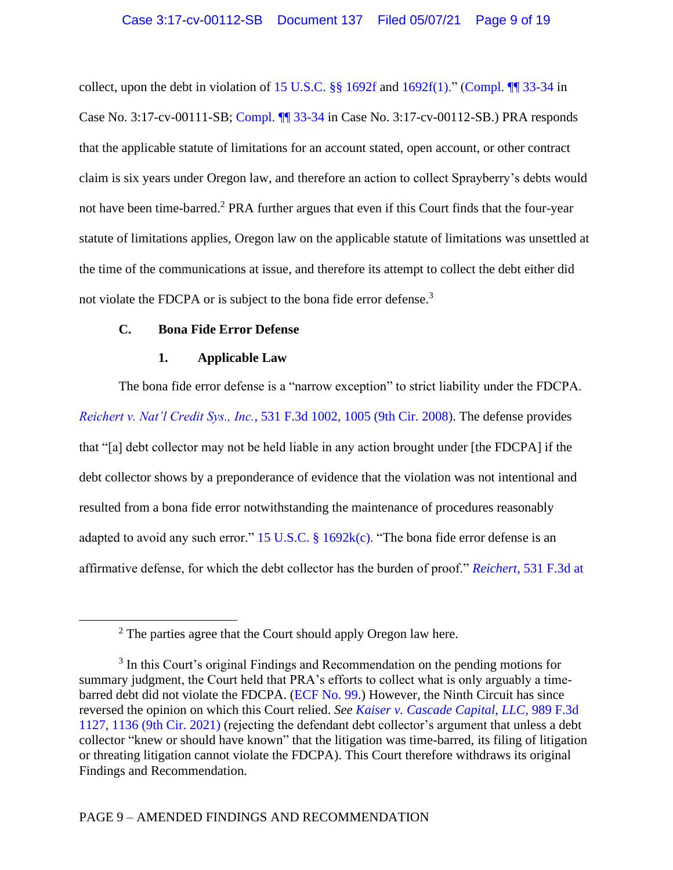collect, upon the debt in violation of 15 U.S.C.  $\S$  1692f and [1692f\(1\).](https://www.westlaw.com/Document/NC109D6A0AFF711D8803AE0632FEDDFBF/View/FullText.html?transitionType=Default&contextData=(sc.Default)&VR=3.0&RS=da3.0)" (Compl.  $\P$  33-34 in Case No. 3:17-cv-00111-SB; [Compl. ¶¶ 33-34](https://ecf.ord.uscourts.gov/doc1/15116113322?page=8) in Case No. 3:17-cv-00112-SB.) PRA responds that the applicable statute of limitations for an account stated, open account, or other contract claim is six years under Oregon law, and therefore an action to collect Sprayberry's debts would not have been time-barred. <sup>2</sup> PRA further argues that even if this Court finds that the four-year statute of limitations applies, Oregon law on the applicable statute of limitations was unsettled at the time of the communications at issue, and therefore its attempt to collect the debt either did not violate the FDCPA or is subject to the bona fide error defense.<sup>3</sup>

# **C. Bona Fide Error Defense**

## **1. Applicable Law**

The bona fide error defense is a "narrow exception" to strict liability under the FDCPA. *Reichert v. Nat'l Credit Sys., Inc.*[, 531 F.3d 1002, 1005 \(9th Cir. 2008\).](https://www.westlaw.com/Document/I7a59f38c4c4611dd9876f446780b7bdc/View/FullText.html?transitionType=Default&contextData=(sc.Default)&VR=3.0&RS=da3.0&fragmentIdentifier=co_pp_sp_506_1005) The defense provides that "[a] debt collector may not be held liable in any action brought under [the FDCPA] if the debt collector shows by a preponderance of evidence that the violation was not intentional and resulted from a bona fide error notwithstanding the maintenance of procedures reasonably adapted to avoid any such error." 15 U.S.C. §  $1692k(c)$ . "The bona fide error defense is an affirmative defense, for which the debt collector has the burden of proof." *Reichert*[, 531 F.3d at](https://www.westlaw.com/Document/I7a59f38c4c4611dd9876f446780b7bdc/View/FullText.html?transitionType=Default&contextData=(sc.Default)&VR=3.0&RS=da3.0&fragmentIdentifier=co_pp_sp_506_1006) 

<sup>2</sup> The parties agree that the Court should apply Oregon law here.

<sup>&</sup>lt;sup>3</sup> In this Court's original Findings and Recommendation on the pending motions for summary judgment, the Court held that PRA's efforts to collect what is only arguably a timebarred debt did not violate the FDCPA. [\(ECF No. 99.](file:///C:/Users/twebber/AppData/Local/Microsoft/Windows/INetCache/Content.Outlook/QRAI95T7/15117859142)) However, the Ninth Circuit has since reversed the opinion on which this Court relied. *See [Kaiser v. Cascade Capital, LLC](https://www.westlaw.com/Document/I88f2cdd0812c11eba660be4ce62361b9/View/FullText.html?transitionType=Default&contextData=(sc.Default)&VR=3.0&RS=da3.0&fragmentIdentifier=co_pp_sp_506_1137)*, 989 F.3d 1127, 1136 [\(9th Cir. 2021\)](https://www.westlaw.com/Document/I88f2cdd0812c11eba660be4ce62361b9/View/FullText.html?transitionType=Default&contextData=(sc.Default)&VR=3.0&RS=da3.0&fragmentIdentifier=co_pp_sp_506_1137) (rejecting the defendant debt collector's argument that unless a debt collector "knew or should have known" that the litigation was time-barred, its filing of litigation or threating litigation cannot violate the FDCPA). This Court therefore withdraws its original Findings and Recommendation.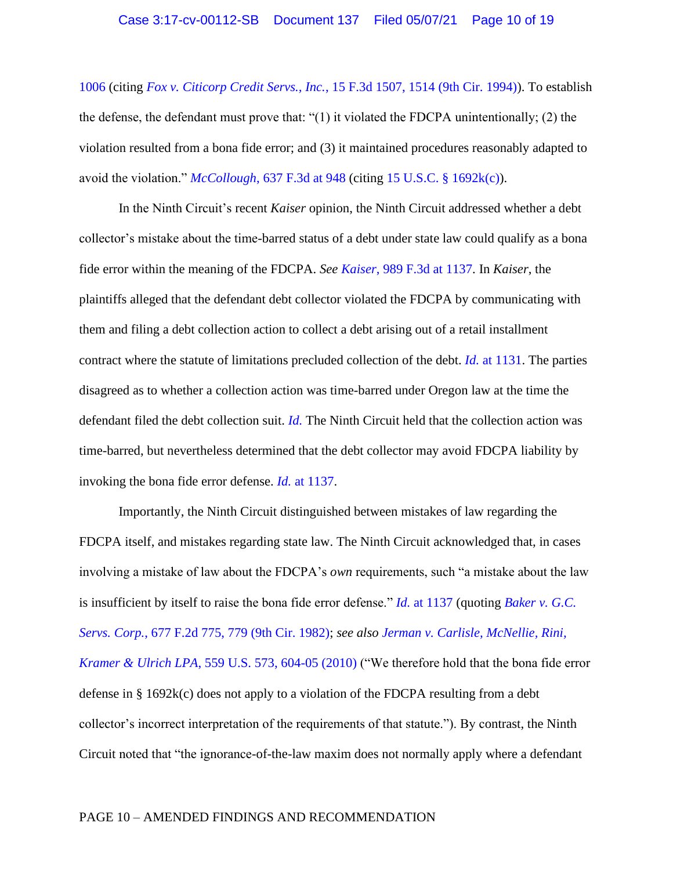[1006](https://www.westlaw.com/Document/I7a59f38c4c4611dd9876f446780b7bdc/View/FullText.html?transitionType=Default&contextData=(sc.Default)&VR=3.0&RS=da3.0&fragmentIdentifier=co_pp_sp_506_1006) (citing *Fox v. Citicorp Credit Servs., Inc.*[, 15 F.3d 1507, 1514 \(9th Cir. 1994\)\)](https://www.westlaw.com/Document/Iea36e2c7970011d9a707f4371c9c34f0/View/FullText.html?transitionType=Default&contextData=(sc.Default)&VR=3.0&RS=da3.0&fragmentIdentifier=co_pp_sp_506_1514). To establish the defense, the defendant must prove that: " $(1)$  it violated the FDCPA unintentionally;  $(2)$  the violation resulted from a bona fide error; and (3) it maintained procedures reasonably adapted to avoid the violation." *McCollough*[, 637 F.3d at](https://www.westlaw.com/Document/Ib8bfdc52467e11e0b931b80af77abaf1/View/FullText.html?transitionType=Default&contextData=(sc.Default)&VR=3.0&RS=da3.0&fragmentIdentifier=co_pp_sp_506_948) 948 (citing [15 U.S.C. § 1692k\(c\)\)](https://www.westlaw.com/Document/N0157858038B311E1BDE18D09F4C9FE75/View/FullText.html?transitionType=Default&contextData=(sc.Default)&VR=3.0&RS=da3.0).

In the Ninth Circuit's recent *Kaiser* opinion, the Ninth Circuit addressed whether a debt collector's mistake about the time-barred status of a debt under state law could qualify as a bona fide error within the meaning of the FDCPA. *See Kaiser*[, 989 F.3d at](https://www.westlaw.com/Document/I88f2cdd0812c11eba660be4ce62361b9/View/FullText.html?transitionType=Default&contextData=(sc.Default)&VR=3.0&RS=da3.0&fragmentIdentifier=co_pp_sp_506_1137) 1137. In *Kaiser*, the plaintiffs alleged that the defendant debt collector violated the FDCPA by communicating with them and filing a debt collection action to collect a debt arising out of a retail installment contract where the statute of limitations precluded collection of the debt. *Id.* [at 1131.](https://www.westlaw.com/Document/I88f2cdd0812c11eba660be4ce62361b9/View/FullText.html?transitionType=Default&contextData=(sc.Default)&VR=3.0&RS=da3.0&fragmentIdentifier=co_pp_sp_506_1131) The parties disagreed as to whether a collection action was time-barred under Oregon law at the time the defendant filed the debt collection suit. *[Id.](https://www.westlaw.com/Document/I88f2cdd0812c11eba660be4ce62361b9/View/FullText.html?transitionType=Default&contextData=(sc.Default)&VR=3.0&RS=da3.0)* The Ninth Circuit held that the collection action was time-barred, but nevertheless determined that the debt collector may avoid FDCPA liability by invoking the bona fide error defense. *Id.* [at 1137.](https://www.westlaw.com/Document/I88f2cdd0812c11eba660be4ce62361b9/View/FullText.html?transitionType=Default&contextData=(sc.Default)&VR=3.0&RS=da3.0&fragmentIdentifier=co_pp_sp_506_1137)

Importantly, the Ninth Circuit distinguished between mistakes of law regarding the FDCPA itself, and mistakes regarding state law. The Ninth Circuit acknowledged that, in cases involving a mistake of law about the FDCPA's *own* requirements, such "a mistake about the law is insufficient by itself to raise the bona fide error defense." *Id.* [at 1137](https://www.westlaw.com/Document/I88f2cdd0812c11eba660be4ce62361b9/View/FullText.html?transitionType=Default&contextData=(sc.Default)&VR=3.0&RS=da3.0&fragmentIdentifier=co_pp_sp_506_1137) (quoting *[Baker v. G.C.](https://www.westlaw.com/Document/I160d307492fb11d9bdd1cfdd544ca3a4/View/FullText.html?transitionType=Default&contextData=(sc.Default)&VR=3.0&RS=da3.0&fragmentIdentifier=co_pp_sp_350_779)  Servs. Corp.*[, 677 F.2d 775, 779 \(9th Cir. 1982\);](https://www.westlaw.com/Document/I160d307492fb11d9bdd1cfdd544ca3a4/View/FullText.html?transitionType=Default&contextData=(sc.Default)&VR=3.0&RS=da3.0&fragmentIdentifier=co_pp_sp_350_779) *see also [Jerman v. Carlisle, McNellie, Rini,](https://www.westlaw.com/Document/I4589e4f54d3311df9988d233d23fe599/View/FullText.html?transitionType=Default&contextData=(sc.Default)&VR=3.0&RS=da3.0)  Kramer & Ulrich LPA*[, 559 U.S. 573, 604-05](https://www.westlaw.com/Document/I4589e4f54d3311df9988d233d23fe599/View/FullText.html?transitionType=Default&contextData=(sc.Default)&VR=3.0&RS=da3.0) (2010) ("We therefore hold that the bona fide error defense in § 1692k(c) does not apply to a violation of the FDCPA resulting from a debt collector's incorrect interpretation of the requirements of that statute."). By contrast, the Ninth Circuit noted that "the ignorance-of-the-law maxim does not normally apply where a defendant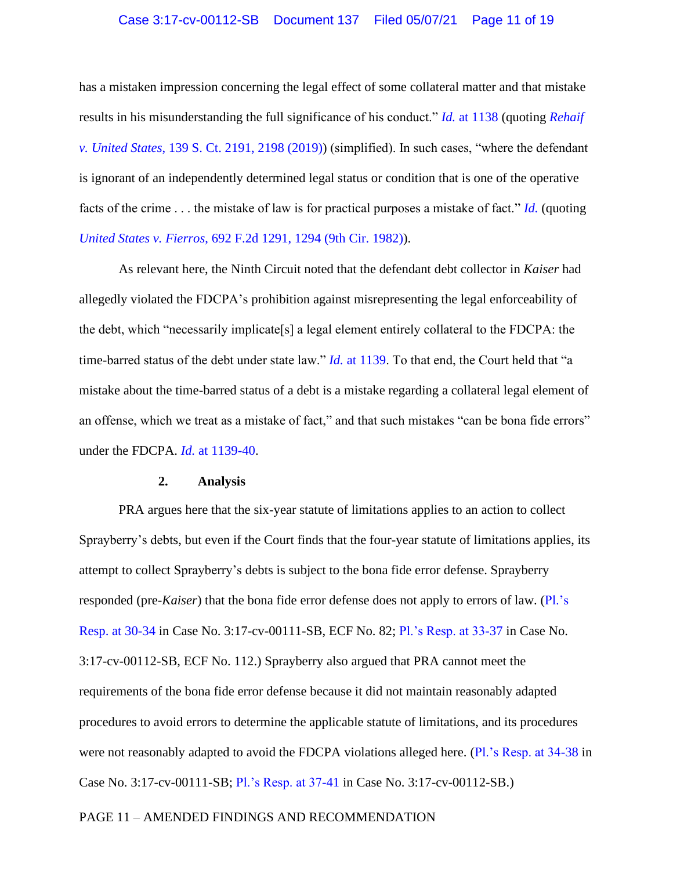has a mistaken impression concerning the legal effect of some collateral matter and that mistake results in his misunderstanding the full significance of his conduct." *Id.* [at 1138](https://www.westlaw.com/Document/I88f2cdd0812c11eba660be4ce62361b9/View/FullText.html?transitionType=Default&contextData=(sc.Default)&VR=3.0&RS=da3.0&fragmentIdentifier=co_pp_sp_506_1138) (quoting *[Rehaif](https://www.westlaw.com/Document/I12df2f01940e11e9b22cbaf3cb96eb08/View/FullText.html?transitionType=Default&contextData=(sc.Default)&VR=3.0&RS=da3.0&fragmentIdentifier=co_pp_sp_708_2198)  v. United States*[, 139 S. Ct. 2191, 2198 \(2019\)\)](https://www.westlaw.com/Document/I12df2f01940e11e9b22cbaf3cb96eb08/View/FullText.html?transitionType=Default&contextData=(sc.Default)&VR=3.0&RS=da3.0&fragmentIdentifier=co_pp_sp_708_2198) (simplified). In such cases, "where the defendant is ignorant of an independently determined legal status or condition that is one of the operative facts of the crime . . . the mistake of law is for practical purposes a mistake of fact." *[Id.](https://www.westlaw.com/Document/I88f2cdd0812c11eba660be4ce62361b9/View/FullText.html?transitionType=Default&contextData=(sc.Default)&VR=3.0&RS=da3.0&fragmentIdentifier=co_pp_sp_506_1138)* (quoting *United States v. Fierros*[, 692 F.2d 1291, 1294 \(9th Cir. 1982\)\)](https://www.westlaw.com/Document/I6cb34458931e11d9bdd1cfdd544ca3a4/View/FullText.html?transitionType=Default&contextData=(sc.Default)&VR=3.0&RS=da3.0&fragmentIdentifier=co_pp_sp_350_1294).

As relevant here, the Ninth Circuit noted that the defendant debt collector in *Kaiser* had allegedly violated the FDCPA's prohibition against misrepresenting the legal enforceability of the debt, which "necessarily implicate[s] a legal element entirely collateral to the FDCPA: the time-barred status of the debt under state law." *Id.* [at 1139.](https://www.westlaw.com/Document/I88f2cdd0812c11eba660be4ce62361b9/View/FullText.html?transitionType=Default&contextData=(sc.Default)&VR=3.0&RS=da3.0&fragmentIdentifier=co_pp_sp_506_1139) To that end, the Court held that "a mistake about the time-barred status of a debt is a mistake regarding a collateral legal element of an offense, which we treat as a mistake of fact," and that such mistakes "can be bona fide errors" under the FDCPA. *Id.* [at 1139-40.](https://www.westlaw.com/Document/I88f2cdd0812c11eba660be4ce62361b9/View/FullText.html?transitionType=Default&contextData=(sc.Default)&VR=3.0&RS=da3.0&fragmentIdentifier=co_pp_sp_506_1139)

## **2. Analysis**

PRA argues here that the six-year statute of limitations applies to an action to collect Sprayberry's debts, but even if the Court finds that the four-year statute of limitations applies, its attempt to collect Sprayberry's debts is subject to the bona fide error defense. Sprayberry responded (pre-*Kaiser*) that the bona fide error defense does not apply to errors of law. [\(Pl.'s](https://ecf.ord.uscourts.gov/doc1/15117627031?page=40)  [Resp. at 30-34](https://ecf.ord.uscourts.gov/doc1/15117627031?page=40) in Case No. 3:17-cv-00111-SB, ECF No. 82; [Pl.'s Resp. at 33-37](https://ecf.ord.uscourts.gov/doc1/15117627023?page=42) in Case No. 3:17-cv-00112-SB, ECF No. 112.) Sprayberry also argued that PRA cannot meet the requirements of the bona fide error defense because it did not maintain reasonably adapted procedures to avoid errors to determine the applicable statute of limitations, and its procedures were not reasonably adapted to avoid the FDCPA violations alleged here. [\(Pl.'s Resp. at 34-38](https://ecf.ord.uscourts.gov/doc1/15117627031?page=44) in Case No. 3:17-cv-00111-SB; [Pl.'s Resp. at 37-41](https://ecf.ord.uscourts.gov/doc1/15117627023?page=46) in Case No. 3:17-cv-00112-SB.)

## PAGE 11 – AMENDED FINDINGS AND RECOMMENDATION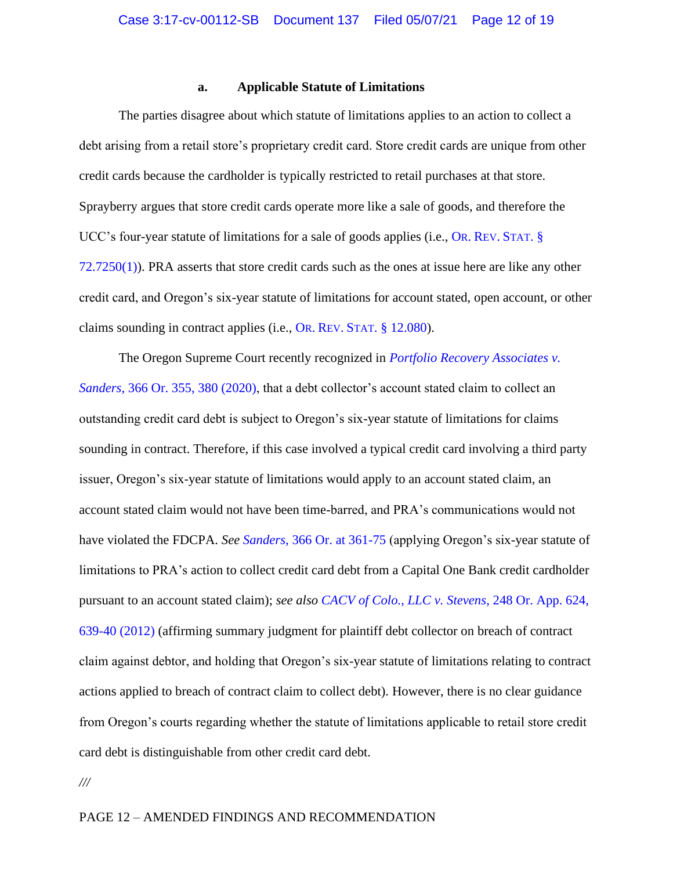### **a. Applicable Statute of Limitations**

The parties disagree about which statute of limitations applies to an action to collect a debt arising from a retail store's proprietary credit card. Store credit cards are unique from other credit cards because the cardholder is typically restricted to retail purchases at that store. Sprayberry argues that store credit cards operate more like a sale of goods, and therefore the UCC's four-year statute of limitations for a sale of goods applies (i.e., OR. REV. STAT[. §](https://www.westlaw.com/Document/NDFDFFCC0B23911DB8E46AD894CF6FAAB/View/FullText.html?transitionType=Default&contextData=(sc.Default)&VR=3.0&RS=da3.0)  [72.7250\(1\)\)](https://www.westlaw.com/Document/NDFDFFCC0B23911DB8E46AD894CF6FAAB/View/FullText.html?transitionType=Default&contextData=(sc.Default)&VR=3.0&RS=da3.0). PRA asserts that store credit cards such as the ones at issue here are like any other credit card, and Oregon's six-year statute of limitations for account stated, open account, or other claims sounding in contract applies (i.e., OR. REV. STAT[. § 12.080\)](https://www.westlaw.com/Document/ND56330E0B23511DB8E46AD894CF6FAAB/View/FullText.html?transitionType=Default&contextData=(sc.Default)&VR=3.0&RS=da3.0).

The Oregon Supreme Court recently recognized in *[Portfolio Recovery Associates](https://www.westlaw.com/Document/Ib30d98a085bc11ea917493a0e993e9ad/View/FullText.html?transitionType=Default&contextData=(sc.Default)&VR=3.0&RS=da3.0&fragmentIdentifier=co_pp_sp_641_380) v. Sanders*[, 366 Or. 355, 380 \(2020\),](https://www.westlaw.com/Document/Ib30d98a085bc11ea917493a0e993e9ad/View/FullText.html?transitionType=Default&contextData=(sc.Default)&VR=3.0&RS=da3.0&fragmentIdentifier=co_pp_sp_641_380) that a debt collector's account stated claim to collect an outstanding credit card debt is subject to Oregon's six-year statute of limitations for claims sounding in contract. Therefore, if this case involved a typical credit card involving a third party issuer, Oregon's six-year statute of limitations would apply to an account stated claim, an account stated claim would not have been time-barred, and PRA's communications would not have violated the FDCPA. *See Sanders*[, 366 Or. at 361-75](https://www.westlaw.com/Document/Ib30d98a085bc11ea917493a0e993e9ad/View/FullText.html?transitionType=Default&contextData=(sc.Default)&VR=3.0&RS=da3.0&fragmentIdentifier=co_pp_sp_641_361) (applying Oregon's six-year statute of limitations to PRA's action to collect credit card debt from a Capital One Bank credit cardholder pursuant to an account stated claim); *see also [CACV of Colo., LLC v. Stevens](https://www.westlaw.com/Document/Ie4fb0af06e4211e1ac60ad556f635d49/View/FullText.html?transitionType=Default&contextData=(sc.Default)&VR=3.0&RS=da3.0&fragmentIdentifier=co_pp_sp_642_639)*, 248 Or. App. 624, [639-40 \(2012\)](https://www.westlaw.com/Document/Ie4fb0af06e4211e1ac60ad556f635d49/View/FullText.html?transitionType=Default&contextData=(sc.Default)&VR=3.0&RS=da3.0&fragmentIdentifier=co_pp_sp_642_639) (affirming summary judgment for plaintiff debt collector on breach of contract claim against debtor, and holding that Oregon's six-year statute of limitations relating to contract actions applied to breach of contract claim to collect debt). However, there is no clear guidance from Oregon's courts regarding whether the statute of limitations applicable to retail store credit card debt is distinguishable from other credit card debt.

*///*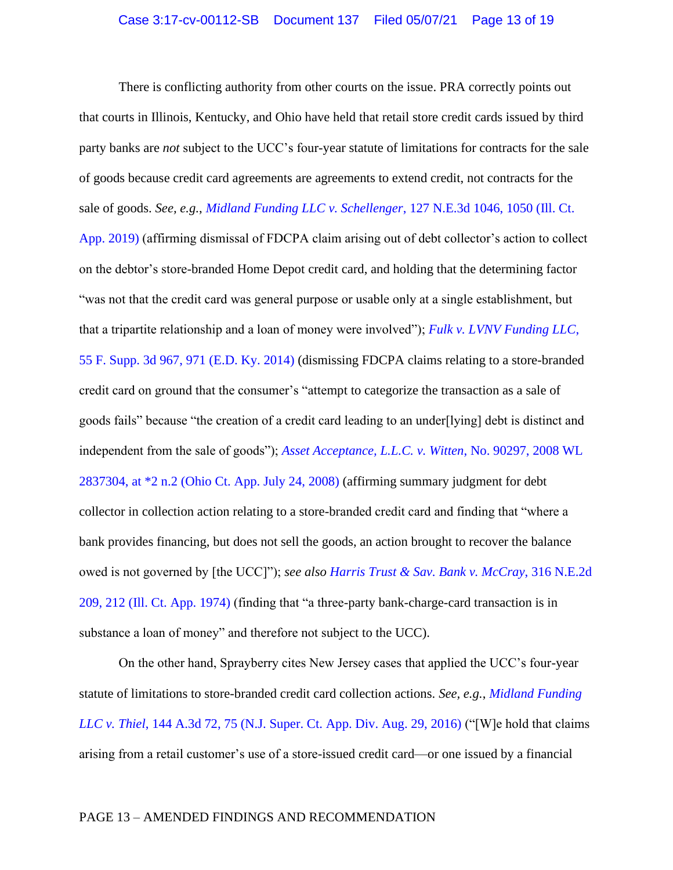There is conflicting authority from other courts on the issue. PRA correctly points out that courts in Illinois, Kentucky, and Ohio have held that retail store credit cards issued by third party banks are *not* subject to the UCC's four-year statute of limitations for contracts for the sale of goods because credit card agreements are agreements to extend credit, not contracts for the sale of goods. *See, e.g.*, *[Midland Funding LLC v. Schellenger](https://www.westlaw.com/Document/I8dea88505fc311e9a6438b9dc1ba0379/View/FullText.html?transitionType=Default&contextData=(sc.Default)&VR=3.0&RS=da3.0&fragmentIdentifier=co_pp_sp_7902_1050)*, 127 N.E.3d 1046, 1050 (Ill. Ct. [App. 2019\)](https://www.westlaw.com/Document/I8dea88505fc311e9a6438b9dc1ba0379/View/FullText.html?transitionType=Default&contextData=(sc.Default)&VR=3.0&RS=da3.0&fragmentIdentifier=co_pp_sp_7902_1050) (affirming dismissal of FDCPA claim arising out of debt collector's action to collect on the debtor's store-branded Home Depot credit card, and holding that the determining factor "was not that the credit card was general purpose or usable only at a single establishment, but that a tripartite relationship and a loan of money were involved"); *[Fulk v. LVNV Funding LLC](https://www.westlaw.com/Document/Ibfed89f35aa011e4b86bd602cb8781fa/View/FullText.html?transitionType=Default&contextData=(sc.Default)&VR=3.0&RS=da3.0&fragmentIdentifier=co_pp_sp_7903_971)*, [55 F. Supp. 3d 967, 971 \(E.D. Ky. 2014\)](https://www.westlaw.com/Document/Ibfed89f35aa011e4b86bd602cb8781fa/View/FullText.html?transitionType=Default&contextData=(sc.Default)&VR=3.0&RS=da3.0&fragmentIdentifier=co_pp_sp_7903_971) (dismissing FDCPA claims relating to a store-branded credit card on ground that the consumer's "attempt to categorize the transaction as a sale of goods fails" because "the creation of a credit card leading to an under[lying] debt is distinct and independent from the sale of goods"); *[Asset Acceptance, L.L.C. v. Witten](https://www.westlaw.com/Document/I722f43c759ac11ddb7e583ba170699a5/View/FullText.html?transitionType=Default&contextData=(sc.Default)&VR=3.0&RS=da3.0&fragmentIdentifier=co_pp_sp_999_2)*, No. 90297, 2008 WL [2837304, at \\*2 n.2 \(Ohio Ct. App. July 24, 2008\)](https://www.westlaw.com/Document/I722f43c759ac11ddb7e583ba170699a5/View/FullText.html?transitionType=Default&contextData=(sc.Default)&VR=3.0&RS=da3.0&fragmentIdentifier=co_pp_sp_999_2) (affirming summary judgment for debt collector in collection action relating to a store-branded credit card and finding that "where a bank provides financing, but does not sell the goods, an action brought to recover the balance owed is not governed by [the UCC]"); *see also [Harris Trust & Sav. Bank v. McCray](https://www.westlaw.com/Document/I2ed604a1d94c11d98ac8f235252e36df/View/FullText.html?transitionType=Default&contextData=(sc.Default)&VR=3.0&RS=da3.0&fragmentIdentifier=co_pp_sp_578_212)*, 316 N.E.2d [209, 212 \(Ill. Ct. App. 1974\)](https://www.westlaw.com/Document/I2ed604a1d94c11d98ac8f235252e36df/View/FullText.html?transitionType=Default&contextData=(sc.Default)&VR=3.0&RS=da3.0&fragmentIdentifier=co_pp_sp_578_212) (finding that "a three-party bank-charge-card transaction is in substance a loan of money" and therefore not subject to the UCC).

On the other hand, Sprayberry cites New Jersey cases that applied the UCC's four-year statute of limitations to store-branded credit card collection actions. *See, e.g.*, *[Midland Funding](https://www.westlaw.com/Document/Ida0606406e9111e6a46fa4c1b9f16bf3/View/FullText.html?transitionType=Default&contextData=(sc.Default)&VR=3.0&RS=da3.0&fragmentIdentifier=co_pp_sp_7691_75)  LLC v. Thiel*[, 144 A.3d 72, 75 \(N.J. Super. Ct. App. Div. Aug. 29, 2016\)](https://www.westlaw.com/Document/Ida0606406e9111e6a46fa4c1b9f16bf3/View/FullText.html?transitionType=Default&contextData=(sc.Default)&VR=3.0&RS=da3.0&fragmentIdentifier=co_pp_sp_7691_75) ("[W]e hold that claims arising from a retail customer's use of a store-issued credit card—or one issued by a financial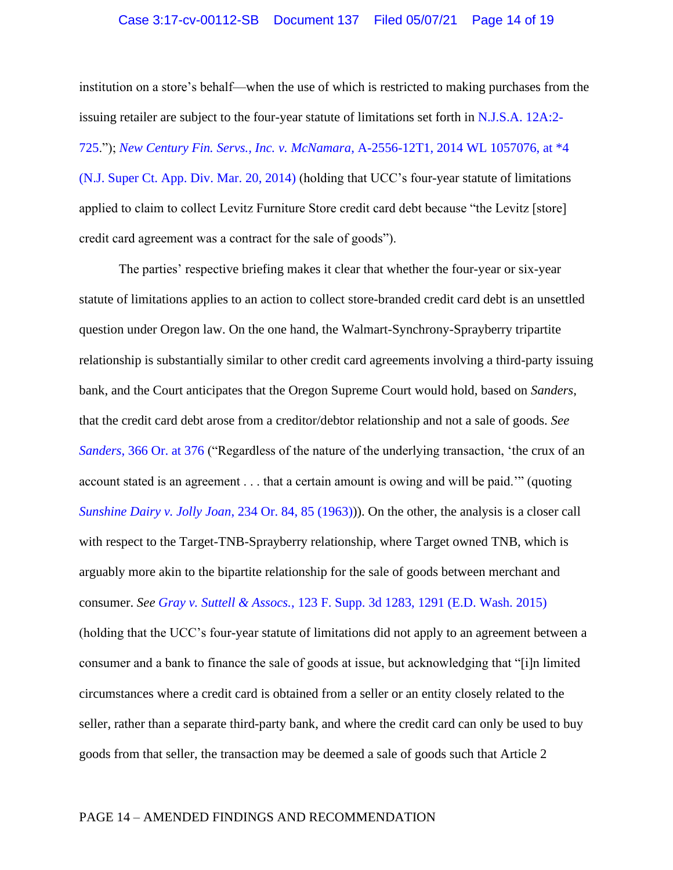#### Case 3:17-cv-00112-SB Document 137 Filed 05/07/21 Page 14 of 19

institution on a store's behalf—when the use of which is restricted to making purchases from the issuing retailer are subject to the four-year statute of limitations set forth in [N.J.S.A. 12A:2-](https://www.westlaw.com/Document/N49271C80EF3711D99BC0AF502031754B/View/FullText.html?transitionType=Default&contextData=(sc.Default)&VR=3.0&RS=da3.0) [725.](https://www.westlaw.com/Document/N49271C80EF3711D99BC0AF502031754B/View/FullText.html?transitionType=Default&contextData=(sc.Default)&VR=3.0&RS=da3.0)"); *[New Century Fin. Servs., Inc. v. McNamara](https://www.westlaw.com/Document/I04d27d8ab02c11e3a341ea44e5e1f25f/View/FullText.html?transitionType=Default&contextData=(sc.Default)&VR=3.0&RS=da3.0&fragmentIdentifier=co_pp_sp_999_4)*, A-2556-12T1, 2014 WL 1057076, at \*4 [\(N.J. Super Ct. App. Div. Mar. 20, 2014\)](https://www.westlaw.com/Document/I04d27d8ab02c11e3a341ea44e5e1f25f/View/FullText.html?transitionType=Default&contextData=(sc.Default)&VR=3.0&RS=da3.0&fragmentIdentifier=co_pp_sp_999_4) (holding that UCC's four-year statute of limitations applied to claim to collect Levitz Furniture Store credit card debt because "the Levitz [store] credit card agreement was a contract for the sale of goods").

The parties' respective briefing makes it clear that whether the four-year or six-year statute of limitations applies to an action to collect store-branded credit card debt is an unsettled question under Oregon law. On the one hand, the Walmart-Synchrony-Sprayberry tripartite relationship is substantially similar to other credit card agreements involving a third-party issuing bank, and the Court anticipates that the Oregon Supreme Court would hold, based on *Sanders*, that the credit card debt arose from a creditor/debtor relationship and not a sale of goods. *See Sanders*[, 366 Or. at 376](https://www.westlaw.com/Document/Ib30d98a085bc11ea917493a0e993e9ad/View/FullText.html?transitionType=Default&contextData=(sc.Default)&VR=3.0&RS=da3.0&fragmentIdentifier=co_pp_sp_641_376) ("Regardless of the nature of the underlying transaction, 'the crux of an account stated is an agreement . . . that a certain amount is owing and will be paid.'" (quoting *[Sunshine Dairy v. Jolly Joan](https://www.westlaw.com/Document/I46279613f76411d98ac8f235252e36df/View/FullText.html?transitionType=Default&contextData=(sc.Default)&VR=3.0&RS=da3.0&fragmentIdentifier=co_pp_sp_641_85)*, 234 Or. 84, 85 (1963))). On the other, the analysis is a closer call with respect to the Target-TNB-Sprayberry relationship, where Target owned TNB, which is arguably more akin to the bipartite relationship for the sale of goods between merchant and consumer. *See Gray v. Suttell & Assocs.*[, 123 F. Supp. 3d 1283, 1291 \(E.D. Wash. 2015\)](https://www.westlaw.com/Document/I542e2a5e41ac11e5b86bd602cb8781fa/View/FullText.html?transitionType=Default&contextData=(sc.Default)&VR=3.0&RS=da3.0&fragmentIdentifier=co_pp_sp_7903_1291) (holding that the UCC's four-year statute of limitations did not apply to an agreement between a consumer and a bank to finance the sale of goods at issue, but acknowledging that "[i]n limited circumstances where a credit card is obtained from a seller or an entity closely related to the seller, rather than a separate third-party bank, and where the credit card can only be used to buy goods from that seller, the transaction may be deemed a sale of goods such that Article 2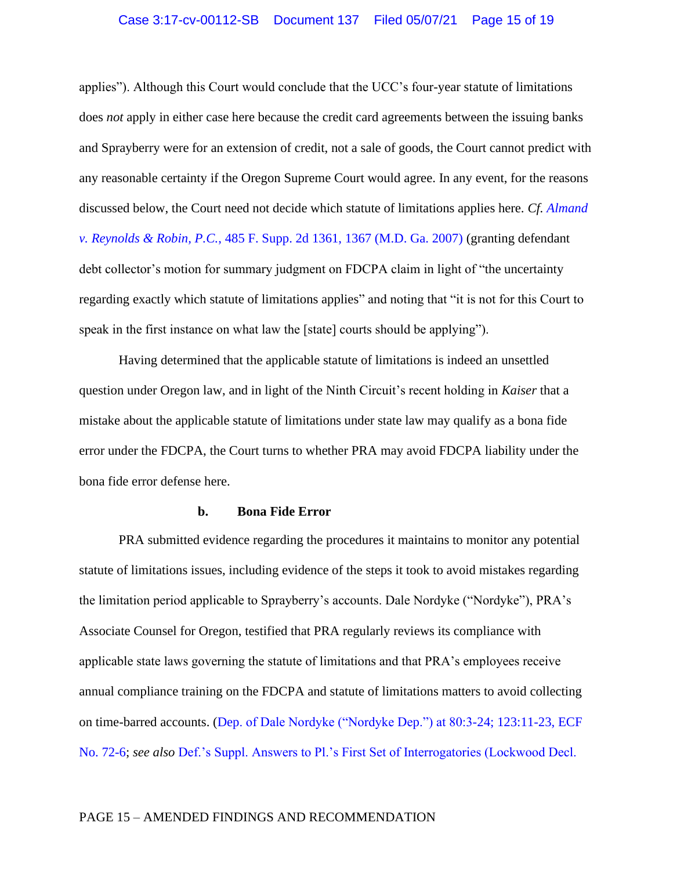applies"). Although this Court would conclude that the UCC's four-year statute of limitations does *not* apply in either case here because the credit card agreements between the issuing banks and Sprayberry were for an extension of credit, not a sale of goods, the Court cannot predict with any reasonable certainty if the Oregon Supreme Court would agree. In any event, for the reasons discussed below, the Court need not decide which statute of limitations applies here. *Cf. [Almand](https://www.westlaw.com/Document/I76211187f9bf11dbb035bac3a32ef289/View/FullText.html?transitionType=Default&contextData=(sc.Default)&VR=3.0&RS=da3.0&fragmentIdentifier=co_pp_sp_4637_1367)  v. Reynolds & Robin, P.C.*[, 485 F. Supp. 2d 1361, 1367 \(M.D. Ga. 2007\)](https://www.westlaw.com/Document/I76211187f9bf11dbb035bac3a32ef289/View/FullText.html?transitionType=Default&contextData=(sc.Default)&VR=3.0&RS=da3.0&fragmentIdentifier=co_pp_sp_4637_1367) (granting defendant debt collector's motion for summary judgment on FDCPA claim in light of "the uncertainty regarding exactly which statute of limitations applies" and noting that "it is not for this Court to speak in the first instance on what law the [state] courts should be applying").

Having determined that the applicable statute of limitations is indeed an unsettled question under Oregon law, and in light of the Ninth Circuit's recent holding in *Kaiser* that a mistake about the applicable statute of limitations under state law may qualify as a bona fide error under the FDCPA, the Court turns to whether PRA may avoid FDCPA liability under the bona fide error defense here.

#### **b. Bona Fide Error**

PRA submitted evidence regarding the procedures it maintains to monitor any potential statute of limitations issues, including evidence of the steps it took to avoid mistakes regarding the limitation period applicable to Sprayberry's accounts. Dale Nordyke ("Nordyke"), PRA's Associate Counsel for Oregon, testified that PRA regularly reviews its compliance with applicable state laws governing the statute of limitations and that PRA's employees receive annual compliance training on the FDCPA and statute of limitations matters to avoid collecting on time-barred accounts. [\(Dep. of Dale Nordyke \("Nordyke Dep."\) at 80:3-24; 123:11-23, ECF](https://ecf.ord.uscourts.gov/doc1/15117577871?page=21)  [No. 72-6;](https://ecf.ord.uscourts.gov/doc1/15117577871?page=21) *see also* [Def.'s Suppl. Answers to Pl.'s First Set of Interrogatories \(Lockwood Decl.](https://ecf.ord.uscourts.gov/doc1/15117577873?page=8) 

#### PAGE 15 – AMENDED FINDINGS AND RECOMMENDATION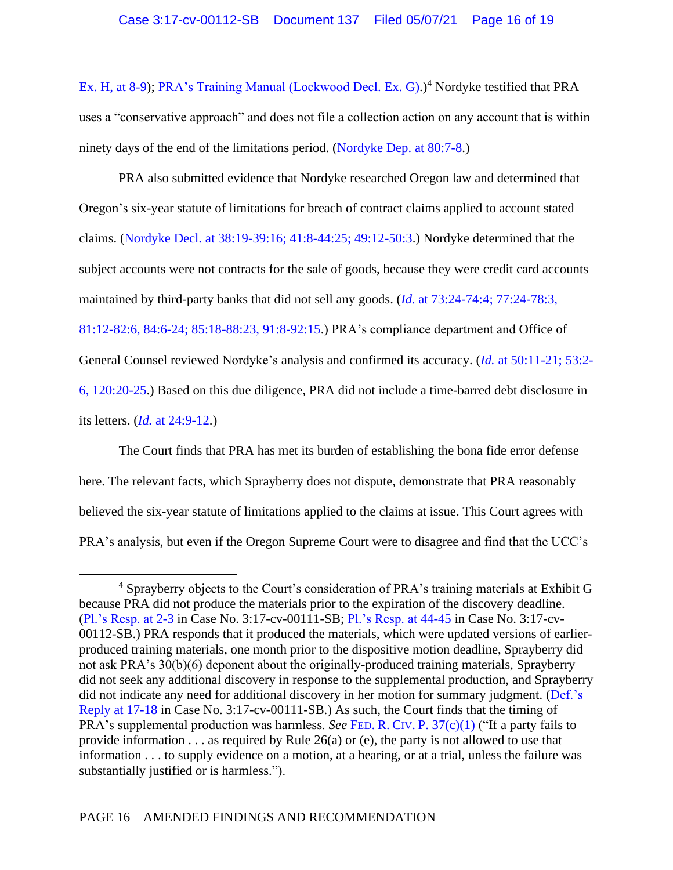[Ex. H, at 8-9\)](https://ecf.ord.uscourts.gov/doc1/15117577873?page=8); [PRA's Training Manual \(Lockwood Decl. Ex. G\).](https://ecf.ord.uscourts.gov/doc1/15117577895))<sup>4</sup> Nordyke testified that PRA uses a "conservative approach" and does not file a collection action on any account that is within ninety days of the end of the limitations period. [\(Nordyke Dep. at 80:7-8.](https://ecf.ord.uscourts.gov/doc1/15117577871?page=21))

PRA also submitted evidence that Nordyke researched Oregon law and determined that Oregon's six-year statute of limitations for breach of contract claims applied to account stated claims. [\(Nordyke Decl. at 38:19-39:16; 41:8-44:25; 49:12-50:3.](https://ecf.ord.uscourts.gov/doc1/15117577871?page=11)) Nordyke determined that the subject accounts were not contracts for the sale of goods, because they were credit card accounts maintained by third-party banks that did not sell any goods. (*Id.* [at 73:24-74:4; 77:24-78:3,](https://ecf.ord.uscourts.gov/doc1/15117577871?page=20)  [81:12-82:6, 84:6-24; 85:18-88:23, 91:8-92:15.](https://ecf.ord.uscourts.gov/doc1/15117577871?page=20)) PRA's compliance department and Office of General Counsel reviewed Nordyke's analysis and confirmed its accuracy. (*Id.* [at 50:11-21; 53:2-](https://ecf.ord.uscourts.gov/doc1/15117577871?page=14) [6, 120:20-25.](https://ecf.ord.uscourts.gov/doc1/15117577871?page=14)) Based on this due diligence, PRA did not include a time-barred debt disclosure in its letters. (*Id.* [at 24:9-12.](https://ecf.ord.uscourts.gov/doc1/15117577871?page=7))

The Court finds that PRA has met its burden of establishing the bona fide error defense here. The relevant facts, which Sprayberry does not dispute, demonstrate that PRA reasonably believed the six-year statute of limitations applied to the claims at issue. This Court agrees with PRA's analysis, but even if the Oregon Supreme Court were to disagree and find that the UCC's

 $4$  Sprayberry objects to the Court's consideration of PRA's training materials at Exhibit G because PRA did not produce the materials prior to the expiration of the discovery deadline. [\(Pl.'s Resp. at 2-3](https://ecf.ord.uscourts.gov/doc1/15117627031?page=12) in Case No. 3:17-cv-00111-SB; [Pl.'s Resp. at 44-45](https://ecf.ord.uscourts.gov/doc1/15117627023?page=53) in Case No. 3:17-cv-00112-SB.) PRA responds that it produced the materials, which were updated versions of earlierproduced training materials, one month prior to the dispositive motion deadline, Sprayberry did not ask PRA's 30(b)(6) deponent about the originally-produced training materials, Sprayberry did not seek any additional discovery in response to the supplemental production, and Sprayberry did not indicate any need for additional discovery in her motion for summary judgment. [\(Def.'s](https://ord-ecf.sso.dcn/doc1/15117645106?page=17) [Reply at 17-18](https://ord-ecf.sso.dcn/doc1/15117645106?page=17) in Case No. 3:17-cv-00111-SB.) As such, the Court finds that the timing of PRA's supplemental production was harmless. *See* FED. R. CIV. P. [37\(c\)\(1\)](https://1.next.westlaw.com/Document/NA31111F0B96511D8983DF34406B5929B/View/FullText.html?transitionType=UniqueDocItem&contextData=(sc.Default)&userEnteredCitation=FED.+R.+CIV.+P.+37(c)(1)) ("If a party fails to provide information . . . as required by Rule 26(a) or (e), the party is not allowed to use that information . . . to supply evidence on a motion, at a hearing, or at a trial, unless the failure was substantially justified or is harmless.").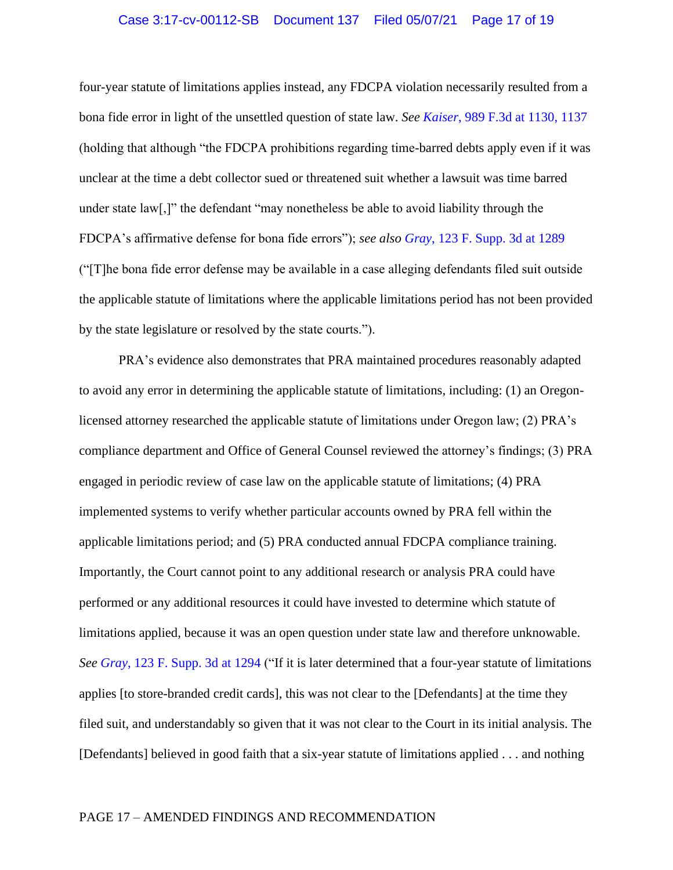### Case 3:17-cv-00112-SB Document 137 Filed 05/07/21 Page 17 of 19

four-year statute of limitations applies instead, any FDCPA violation necessarily resulted from a bona fide error in light of the unsettled question of state law. *See Kaiser*[, 989 F.3d at 1130, 1137](https://www.westlaw.com/Document/I88f2cdd0812c11eba660be4ce62361b9/View/FullText.html?transitionType=Default&contextData=(sc.Default)&VR=3.0&RS=da3.0&fragmentIdentifier=co_pp_sp_506_1130%2c+1137) (holding that although "the FDCPA prohibitions regarding time-barred debts apply even if it was unclear at the time a debt collector sued or threatened suit whether a lawsuit was time barred under state law[,]" the defendant "may nonetheless be able to avoid liability through the FDCPA's affirmative defense for bona fide errors"); *see also Gray*[, 123 F. Supp. 3d at](https://www.westlaw.com/Document/I542e2a5e41ac11e5b86bd602cb8781fa/View/FullText.html?transitionType=Default&contextData=(sc.Default)&VR=3.0&RS=da3.0&fragmentIdentifier=co_pp_sp_7903_1289) 1289 ("[T]he bona fide error defense may be available in a case alleging defendants filed suit outside the applicable statute of limitations where the applicable limitations period has not been provided by the state legislature or resolved by the state courts.").

PRA's evidence also demonstrates that PRA maintained procedures reasonably adapted to avoid any error in determining the applicable statute of limitations, including: (1) an Oregonlicensed attorney researched the applicable statute of limitations under Oregon law; (2) PRA's compliance department and Office of General Counsel reviewed the attorney's findings; (3) PRA engaged in periodic review of case law on the applicable statute of limitations; (4) PRA implemented systems to verify whether particular accounts owned by PRA fell within the applicable limitations period; and (5) PRA conducted annual FDCPA compliance training. Importantly, the Court cannot point to any additional research or analysis PRA could have performed or any additional resources it could have invested to determine which statute of limitations applied, because it was an open question under state law and therefore unknowable. *See Gray*[, 123 F. Supp. 3d at 1294](https://www.westlaw.com/Document/I542e2a5e41ac11e5b86bd602cb8781fa/View/FullText.html?transitionType=Default&contextData=(sc.Default)&VR=3.0&RS=da3.0&fragmentIdentifier=co_pp_sp_7903_1294) ("If it is later determined that a four-year statute of limitations applies [to store-branded credit cards], this was not clear to the [Defendants] at the time they filed suit, and understandably so given that it was not clear to the Court in its initial analysis. The [Defendants] believed in good faith that a six-year statute of limitations applied . . . and nothing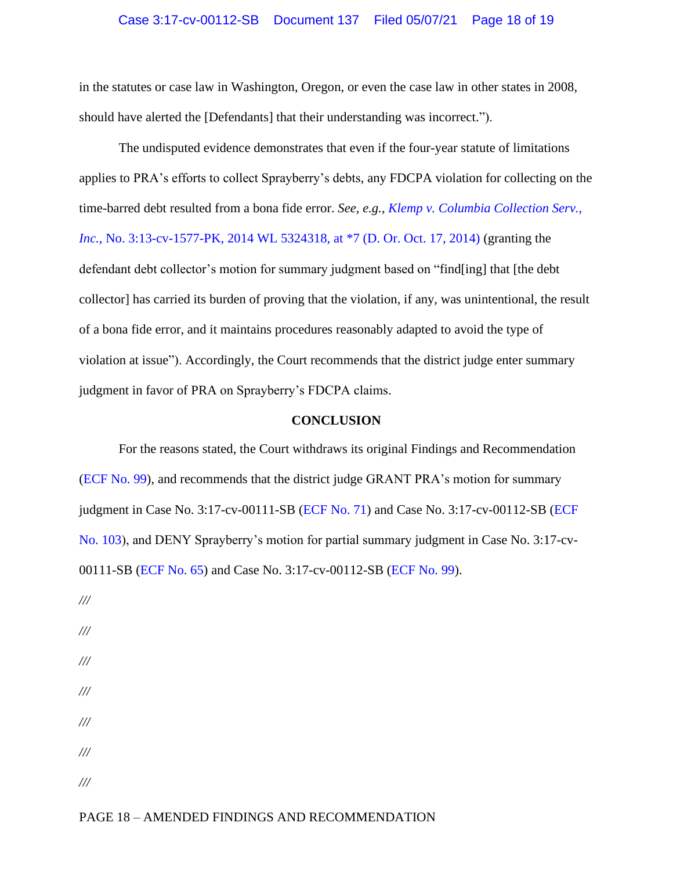### Case 3:17-cv-00112-SB Document 137 Filed 05/07/21 Page 18 of 19

in the statutes or case law in Washington, Oregon, or even the case law in other states in 2008, should have alerted the [Defendants] that their understanding was incorrect.").

The undisputed evidence demonstrates that even if the four-year statute of limitations applies to PRA's efforts to collect Sprayberry's debts, any FDCPA violation for collecting on the time-barred debt resulted from a bona fide error. *See, e.g.*, *[Klemp v. Columbia Collection Serv.,](https://www.westlaw.com/Document/I3251795f58e611e490d4edf60ce7d742/View/FullText.html?transitionType=Default&contextData=(sc.Default)&VR=3.0&RS=da3.0&fragmentIdentifier=co_pp_sp_999_7)  Inc.*, No. 3:13-cv-1577-PK, 2014 WL 5324318, at  $*7$  (D. Or. Oct. 17, 2014) (granting the defendant debt collector's motion for summary judgment based on "find[ing] that [the debt collector] has carried its burden of proving that the violation, if any, was unintentional, the result of a bona fide error, and it maintains procedures reasonably adapted to avoid the type of violation at issue"). Accordingly, the Court recommends that the district judge enter summary judgment in favor of PRA on Sprayberry's FDCPA claims.

## **CONCLUSION**

For the reasons stated, the Court withdraws its original Findings and Recommendation [\(ECF No. 99\)](file:///C:/Users/twebber/AppData/Local/Microsoft/Windows/INetCache/Content.Outlook/QRAI95T7/15117859142), and recommends that the district judge GRANT PRA's motion for summary judgment in Case No. 3:17-cv-00111-SB [\(ECF No. 71\)](https://ord-ecf.sso.dcn/doc1/15117577849) and Case No. 3:17-cv-00112-SB [\(ECF](https://ord-ecf.sso.dcn/doc1/15117577904)  [No. 103\)](https://ord-ecf.sso.dcn/doc1/15117577904), and DENY Sprayberry's motion for partial summary judgment in Case No. 3:17-cv-00111-SB [\(ECF No. 65\)](https://ord-ecf.sso.dcn/doc1/15107577548) and Case No. 3:17-cv-00112-SB [\(ECF No. 99\)](https://ord-ecf.sso.dcn/doc1/15107577796).

- */// /// /// /// ///*
- *///*
- *///*

#### PAGE 18 – AMENDED FINDINGS AND RECOMMENDATION